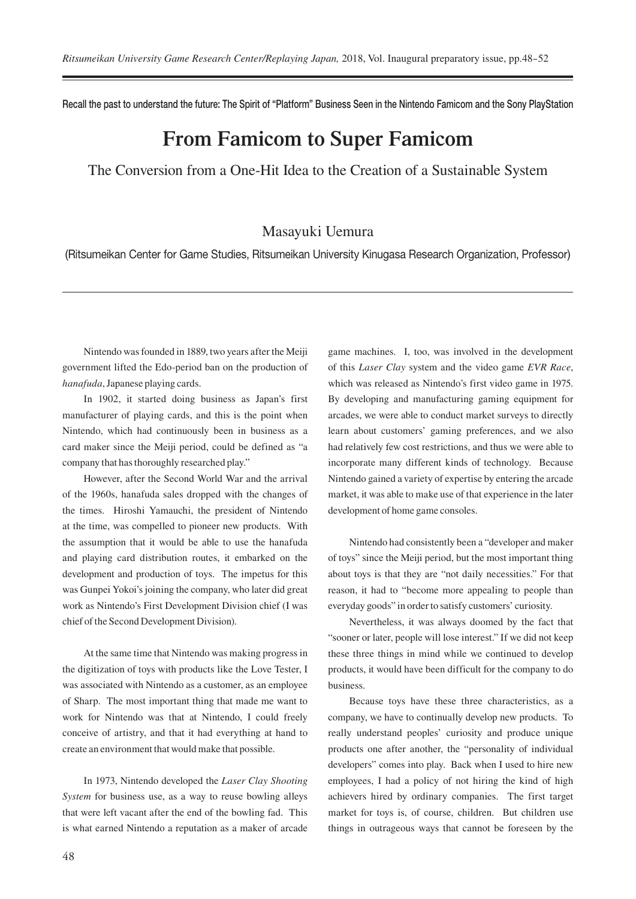Recall the past to understand the future: The Spirit of "Platform" Business Seen in the Nintendo Famicom and the Sony PlayStation

## **From Famicom to Super Famicom**

The Conversion from a One-Hit Idea to the Creation of a Sustainable System

## Masayuki Uemura

(Ritsumeikan Center for Game Studies, Ritsumeikan University Kinugasa Research Organization, Professor)

Nintendo was founded in 1889, two years after the Meiji government lifted the Edo-period ban on the production of *hanafuda*, Japanese playing cards.

In 1902, it started doing business as Japan's first manufacturer of playing cards, and this is the point when Nintendo, which had continuously been in business as a card maker since the Meiji period, could be defined as "a company that has thoroughly researched play."

However, after the Second World War and the arrival of the 1960s, hanafuda sales dropped with the changes of the times. Hiroshi Yamauchi, the president of Nintendo at the time, was compelled to pioneer new products. With the assumption that it would be able to use the hanafuda and playing card distribution routes, it embarked on the development and production of toys. The impetus for this was Gunpei Yokoi's joining the company, who later did great work as Nintendo's First Development Division chief (I was chief of the Second Development Division).

At the same time that Nintendo was making progress in the digitization of toys with products like the Love Tester, I was associated with Nintendo as a customer, as an employee of Sharp. The most important thing that made me want to work for Nintendo was that at Nintendo, I could freely conceive of artistry, and that it had everything at hand to create an environment that would make that possible.

In 1973, Nintendo developed the *Laser Clay Shooting System* for business use, as a way to reuse bowling alleys that were left vacant after the end of the bowling fad. This is what earned Nintendo a reputation as a maker of arcade game machines. I, too, was involved in the development of this *Laser Clay* system and the video game *EVR Race*, which was released as Nintendo's first video game in 1975. By developing and manufacturing gaming equipment for arcades, we were able to conduct market surveys to directly learn about customers' gaming preferences, and we also had relatively few cost restrictions, and thus we were able to incorporate many different kinds of technology. Because Nintendo gained a variety of expertise by entering the arcade market, it was able to make use of that experience in the later development of home game consoles.

Nintendo had consistently been a "developer and maker of toys" since the Meiji period, but the most important thing about toys is that they are "not daily necessities." For that reason, it had to "become more appealing to people than everyday goods" in order to satisfy customers' curiosity.

Nevertheless, it was always doomed by the fact that "sooner or later, people will lose interest." If we did not keep these three things in mind while we continued to develop products, it would have been difficult for the company to do business.

Because toys have these three characteristics, as a company, we have to continually develop new products. To really understand peoples' curiosity and produce unique products one after another, the "personality of individual developers" comes into play. Back when I used to hire new employees, I had a policy of not hiring the kind of high achievers hired by ordinary companies. The first target market for toys is, of course, children. But children use things in outrageous ways that cannot be foreseen by the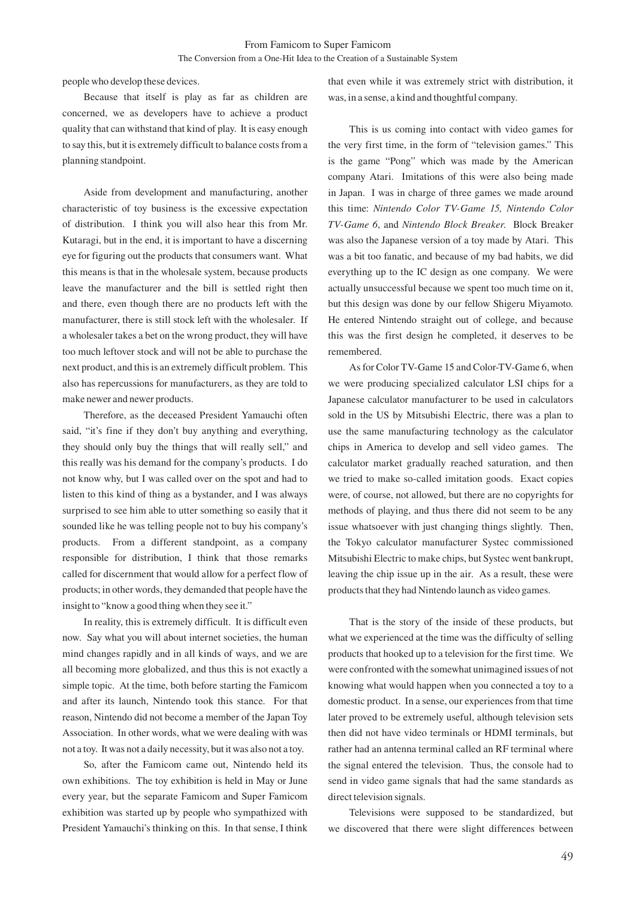people who develop these devices.

Because that itself is play as far as children are concerned, we as developers have to achieve a product quality that can withstand that kind of play. It is easy enough to say this, but it is extremely difficult to balance costs from a planning standpoint.

Aside from development and manufacturing, another characteristic of toy business is the excessive expectation of distribution. I think you will also hear this from Mr. Kutaragi, but in the end, it is important to have a discerning eye for figuring out the products that consumers want. What this means is that in the wholesale system, because products leave the manufacturer and the bill is settled right then and there, even though there are no products left with the manufacturer, there is still stock left with the wholesaler. If a wholesaler takes a bet on the wrong product, they will have too much leftover stock and will not be able to purchase the next product, and this is an extremely difficult problem. This also has repercussions for manufacturers, as they are told to make newer and newer products.

Therefore, as the deceased President Yamauchi often said, "it's fine if they don't buy anything and everything, they should only buy the things that will really sell," and this really was his demand for the company's products. I do not know why, but I was called over on the spot and had to listen to this kind of thing as a bystander, and I was always surprised to see him able to utter something so easily that it sounded like he was telling people not to buy his company's products. From a different standpoint, as a company responsible for distribution, I think that those remarks called for discernment that would allow for a perfect flow of products; in other words, they demanded that people have the insight to "know a good thing when they see it."

In reality, this is extremely difficult. It is difficult even now. Say what you will about internet societies, the human mind changes rapidly and in all kinds of ways, and we are all becoming more globalized, and thus this is not exactly a simple topic. At the time, both before starting the Famicom and after its launch, Nintendo took this stance. For that reason, Nintendo did not become a member of the Japan Toy Association. In other words, what we were dealing with was not a toy. It was not a daily necessity, but it was also not a toy.

So, after the Famicom came out, Nintendo held its own exhibitions. The toy exhibition is held in May or June every year, but the separate Famicom and Super Famicom exhibition was started up by people who sympathized with President Yamauchi's thinking on this. In that sense, I think that even while it was extremely strict with distribution, it was, in a sense, a kind and thoughtful company.

This is us coming into contact with video games for the very first time, in the form of "television games." This is the game "Pong" which was made by the American company Atari. Imitations of this were also being made in Japan. I was in charge of three games we made around this time: *Nintendo Color TV-Game 15, Nintendo Color TV-Game 6*, and *Nintendo Block Breaker*. Block Breaker was also the Japanese version of a toy made by Atari. This was a bit too fanatic, and because of my bad habits, we did everything up to the IC design as one company. We were actually unsuccessful because we spent too much time on it, but this design was done by our fellow Shigeru Miyamoto. He entered Nintendo straight out of college, and because this was the first design he completed, it deserves to be remembered.

As for Color TV-Game 15 and Color-TV-Game 6, when we were producing specialized calculator LSI chips for a Japanese calculator manufacturer to be used in calculators sold in the US by Mitsubishi Electric, there was a plan to use the same manufacturing technology as the calculator chips in America to develop and sell video games. The calculator market gradually reached saturation, and then we tried to make so-called imitation goods. Exact copies were, of course, not allowed, but there are no copyrights for methods of playing, and thus there did not seem to be any issue whatsoever with just changing things slightly. Then, the Tokyo calculator manufacturer Systec commissioned Mitsubishi Electric to make chips, but Systec went bankrupt, leaving the chip issue up in the air. As a result, these were products that they had Nintendo launch as video games.

That is the story of the inside of these products, but what we experienced at the time was the difficulty of selling products that hooked up to a television for the first time. We were confronted with the somewhat unimagined issues of not knowing what would happen when you connected a toy to a domestic product. In a sense, our experiences from that time later proved to be extremely useful, although television sets then did not have video terminals or HDMI terminals, but rather had an antenna terminal called an RF terminal where the signal entered the television. Thus, the console had to send in video game signals that had the same standards as direct television signals.

Televisions were supposed to be standardized, but we discovered that there were slight differences between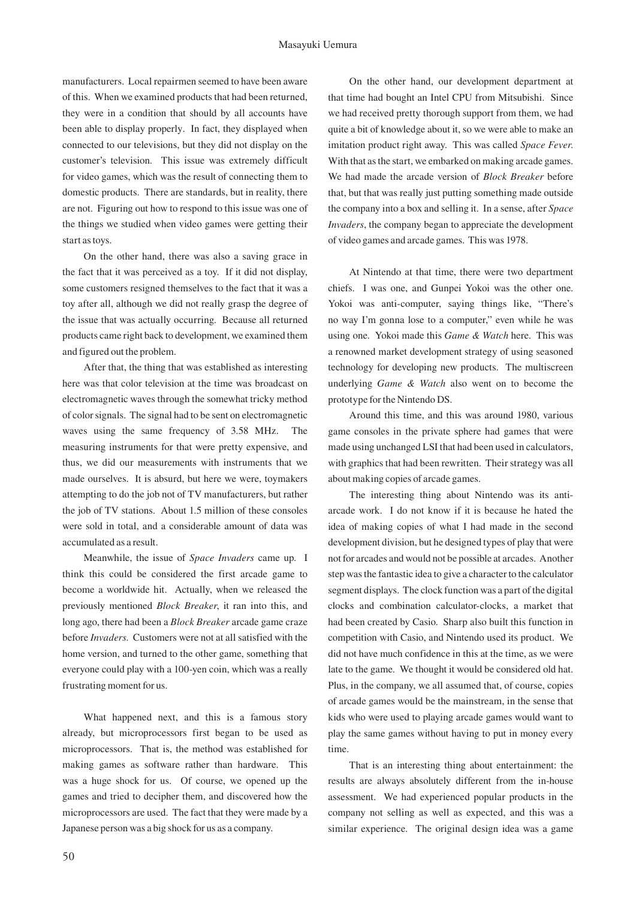manufacturers. Local repairmen seemed to have been aware of this. When we examined products that had been returned, they were in a condition that should by all accounts have been able to display properly. In fact, they displayed when connected to our televisions, but they did not display on the customer's television. This issue was extremely difficult for video games, which was the result of connecting them to domestic products. There are standards, but in reality, there are not. Figuring out how to respond to this issue was one of the things we studied when video games were getting their start as toys.

On the other hand, there was also a saving grace in the fact that it was perceived as a toy. If it did not display, some customers resigned themselves to the fact that it was a toy after all, although we did not really grasp the degree of the issue that was actually occurring. Because all returned products came right back to development, we examined them and figured out the problem.

After that, the thing that was established as interesting here was that color television at the time was broadcast on electromagnetic waves through the somewhat tricky method of color signals. The signal had to be sent on electromagnetic waves using the same frequency of 3.58 MHz. The measuring instruments for that were pretty expensive, and thus, we did our measurements with instruments that we made ourselves. It is absurd, but here we were, toymakers attempting to do the job not of TV manufacturers, but rather the job of TV stations. About 1.5 million of these consoles were sold in total, and a considerable amount of data was accumulated as a result.

Meanwhile, the issue of *Space Invaders* came up. I think this could be considered the first arcade game to become a worldwide hit. Actually, when we released the previously mentioned *Block Breaker*, it ran into this, and long ago, there had been a *Block Breaker* arcade game craze before *Invaders*. Customers were not at all satisfied with the home version, and turned to the other game, something that everyone could play with a 100-yen coin, which was a really frustrating moment for us.

What happened next, and this is a famous story already, but microprocessors first began to be used as microprocessors. That is, the method was established for making games as software rather than hardware. This was a huge shock for us. Of course, we opened up the games and tried to decipher them, and discovered how the microprocessors are used. The fact that they were made by a Japanese person was a big shock for us as a company.

On the other hand, our development department at that time had bought an Intel CPU from Mitsubishi. Since we had received pretty thorough support from them, we had quite a bit of knowledge about it, so we were able to make an imitation product right away. This was called *Space Fever*. With that as the start, we embarked on making arcade games. We had made the arcade version of *Block Breaker* before that, but that was really just putting something made outside the company into a box and selling it. In a sense, after *Space Invaders*, the company began to appreciate the development of video games and arcade games. This was 1978.

At Nintendo at that time, there were two department chiefs. I was one, and Gunpei Yokoi was the other one. Yokoi was anti-computer, saying things like, "There's no way I'm gonna lose to a computer," even while he was using one. Yokoi made this *Game & Watch* here. This was a renowned market development strategy of using seasoned technology for developing new products. The multiscreen underlying *Game & Watch* also went on to become the prototype for the Nintendo DS.

Around this time, and this was around 1980, various game consoles in the private sphere had games that were made using unchanged LSI that had been used in calculators, with graphics that had been rewritten. Their strategy was all about making copies of arcade games.

The interesting thing about Nintendo was its antiarcade work. I do not know if it is because he hated the idea of making copies of what I had made in the second development division, but he designed types of play that were not for arcades and would not be possible at arcades. Another step was the fantastic idea to give a character to the calculator segment displays. The clock function was a part of the digital clocks and combination calculator-clocks, a market that had been created by Casio. Sharp also built this function in competition with Casio, and Nintendo used its product. We did not have much confidence in this at the time, as we were late to the game. We thought it would be considered old hat. Plus, in the company, we all assumed that, of course, copies of arcade games would be the mainstream, in the sense that kids who were used to playing arcade games would want to play the same games without having to put in money every time.

That is an interesting thing about entertainment: the results are always absolutely different from the in-house assessment. We had experienced popular products in the company not selling as well as expected, and this was a similar experience. The original design idea was a game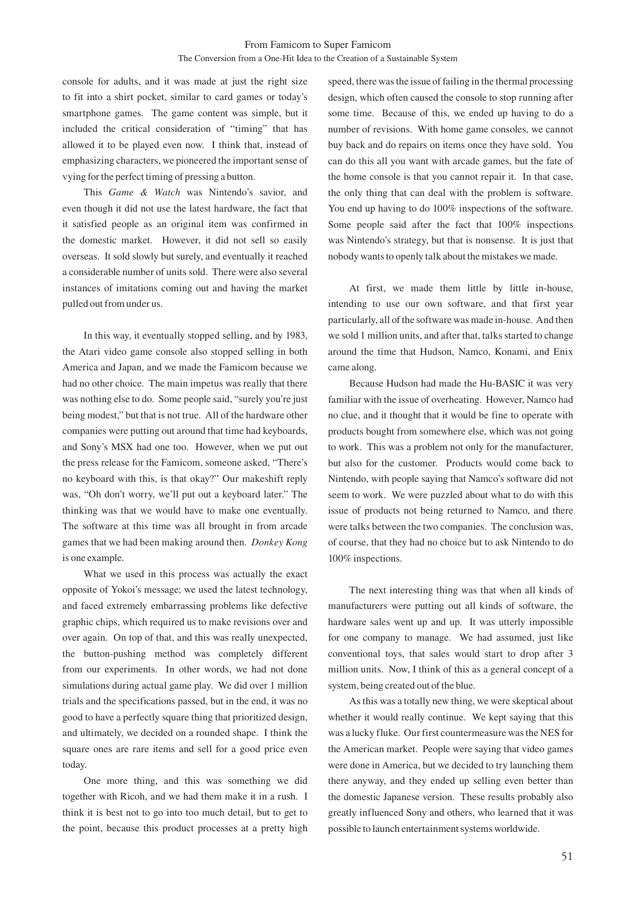console for adults, and it was made at just the right size to fit into a shirt pocket, similar to card games or today's smartphone games. The game content was simple, but it included the critical consideration of "timing" that has allowed it to be played even now. I think that, instead of emphasizing characters, we pioneered the important sense of vying for the perfect timing of pressing a button.

This *Game & Watch* was Nintendo's savior, and even though it did not use the latest hardware, the fact that it satisfied people as an original item was confirmed in the domestic market. However, it did not sell so easily overseas. It sold slowly but surely, and eventually it reached a considerable number of units sold. There were also several instances of imitations coming out and having the market pulled out from under us.

In this way, it eventually stopped selling, and by 1983, the Atari video game console also stopped selling in both America and Japan, and we made the Famicom because we had no other choice. The main impetus was really that there was nothing else to do. Some people said, "surely you're just being modest," but that is not true. All of the hardware other companies were putting out around that time had keyboards, and Sony's MSX had one too. However, when we put out the press release for the Famicom, someone asked, "There's no keyboard with this, is that okay?" Our makeshift reply was, "Oh don't worry, we'll put out a keyboard later." The thinking was that we would have to make one eventually. The software at this time was all brought in from arcade games that we had been making around then. *Donkey Kong* is one example.

What we used in this process was actually the exact opposite of Yokoi's message; we used the latest technology, and faced extremely embarrassing problems like defective graphic chips, which required us to make revisions over and over again. On top of that, and this was really unexpected, the button-pushing method was completely different from our experiments. In other words, we had not done simulations during actual game play. We did over 1 million trials and the specifications passed, but in the end, it was no good to have a perfectly square thing that prioritized design, and ultimately, we decided on a rounded shape. I think the square ones are rare items and sell for a good price even today.

One more thing, and this was something we did together with Ricoh, and we had them make it in a rush. I think it is best not to go into too much detail, but to get to the point, because this product processes at a pretty high

speed, there was the issue of failing in the thermal processing design, which often caused the console to stop running after some time. Because of this, we ended up having to do a number of revisions. With home game consoles, we cannot buy back and do repairs on items once they have sold. You can do this all you want with arcade games, but the fate of the home console is that you cannot repair it. In that case, the only thing that can deal with the problem is software. You end up having to do 100% inspections of the software. Some people said after the fact that 100% inspections was Nintendo's strategy, but that is nonsense. It is just that nobody wants to openly talk about the mistakes we made.

At first, we made them little by little in-house, intending to use our own software, and that first year particularly, all of the software was made in-house. And then we sold 1 million units, and after that, talks started to change around the time that Hudson, Namco, Konami, and Enix came along.

Because Hudson had made the Hu-BASIC it was very familiar with the issue of overheating. However, Namco had no clue, and it thought that it would be fine to operate with products bought from somewhere else, which was not going to work. This was a problem not only for the manufacturer, but also for the customer. Products would come back to Nintendo, with people saying that Namco's software did not seem to work. We were puzzled about what to do with this issue of products not being returned to Namco, and there were talks between the two companies. The conclusion was, of course, that they had no choice but to ask Nintendo to do 100% inspections.

The next interesting thing was that when all kinds of manufacturers were putting out all kinds of software, the hardware sales went up and up. It was utterly impossible for one company to manage. We had assumed, just like conventional toys, that sales would start to drop after 3 million units. Now, I think of this as a general concept of a system, being created out of the blue.

As this was a totally new thing, we were skeptical about whether it would really continue. We kept saying that this was a lucky fluke. Our first countermeasure was the NES for the American market. People were saying that video games were done in America, but we decided to try launching them there anyway, and they ended up selling even better than the domestic Japanese version. These results probably also greatly influenced Sony and others, who learned that it was possible to launch entertainment systems worldwide.